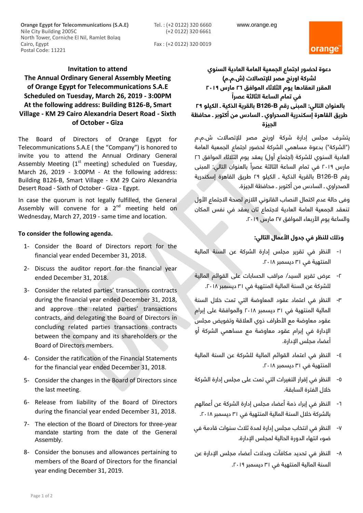www.orange.eg

Tel. : (+2 0122) 320 6660 (+2 0122) 320 6661

**Orange Egypt for Telecommunications (S.A.E)** Nile City Building 2005C North Tower, Corniche El Nil, Ramlet Bolaq Cairo, Egypt Postal Code: 11221

Fax : (+2 0122) 320 0019



## **Invitation to attend**

## **The Annual Ordinary General Assembly Meeting of Orange Egypt for Telecommunications S.A.E Scheduled on Tuesday, March 26, 2019 - 3:00PM At the following address: Building B126-B, Smart Village - KM 29 Cairo Alexandria Desert Road - Sixth of October - Giza**

The Board of Directors of Orange Egypt for Telecommunications S.A.E ( the "Company") is honored to invite you to attend the Annual Ordinary General Assembly Meeting  $(1<sup>st</sup> meeting) scheduled on Tuesday,$ March 26, 2019 - 3:00PM - At the following address: Building B126-B, Smart Village - KM 29 Cairo Alexandria Desert Road - Sixth of October - Giza - Egypt.

In case the quorum is not legally fulfilled, the General Assembly will convene for a  $2^{nd}$  meeting held on Wednesday, March 27, 2019 - same time and location.

## **To consider the following agenda.**

- 1- Consider the Board of Directors report for the financial year ended December 31, 2018.
- 2- Discuss the auditor report for the financial year ended December 31, 2018.
- 3- Consider the related parties' transactions contracts during the financial year ended December 31, 2018, and approve the related parties' transactions contracts, and delegating the Board of Directors in concluding related parties transactions contracts between the company and its shareholders or the Board of Directors members.
- 4- Consider the ratification of the Financial Statements for the financial year ended December 31, 2018.
- 5- Consider the changes in the Board of Directors since the last meeting.
- 6- Release from liability of the Board of Directors during the financial year ended December 31, 2018.
- 7- The election of the Board of Directors for three-year mandate starting from the date of the General Assembly.
- 8- Consider the bonuses and allowances pertaining to members of the Board of Directors for the financial year ending December 31, 2019.

**دعوة لحضور اجتماع الجمعية العامة العادية السنوي لشركة اورنچ مصر لإلتصاالت )ش.م.م( المقرر انعقادها يوم الثالثاء الموافق 26 مارس 2019 ا في تمام الساعة الثالثة عصرً بالعنوان التالي: المبنى رقم B126-B بالقرية الذكية ـ الكيلو 29 طريق القاهرة إسكندرية الصحراوي ـ السادس من أكتوبر ـ محافظة الجيزة**

يتشرف مجلس إدارة شركة اورنچ مصر لإلتصاالت ش.م.م )"الشركة"( بدعوة مساهمي الشركة لحضور اجتماع الجمعية العامة العادية السنوى للشركة (اجتماع أول) يعقد يوم الثلاثاء الموافق C1 مارس ٢٠١٩ في تمام الساعة الثالثة عصراً بالعنوان التالي: المبنى رقم B126-B بالقرية الذكية ـ الكيلو 29 طريق القاهرة إسكندرية الصحراوي ـ السادس من أكتوبر ـ محافظة الجيزة.

وفى حالة عدم اكتمال النصاب القانوني الالزم لصحة االجتماع األول تنعقد الجمعية العامة العادية الجتماع ثان يعقد في نفس المكان والساعة يوم األربعاء الموافق 27 مارس .2019

## **وذلك للنظر في جدول األعمال التالي:**

- -1 النظر في تقرير مجلس إدارة الشركة عن السنة المالية المنتهية في 31 ديسمبر .2018
- -2 عرض تقرير السيد/ مراقب الحسابات على القوائم المالية للشركة عن السنة المالية المنتهية في 31 ديسمبر .2018
- -3 النظر في اعتماد عقود المعاوضة التي تمت خالل السنة المالية المنتهية في 31 ديسمبر 2018 والموافقة على إبرام عقود معاوضة مع الأطراف ذوي العلاقة وتفويض مجلس اإلدارة في إبرام عقود معاوضة مع مساهمي الشركة أو أعضاء مجلس اإلدارة.
- -4 النظر في اعتماد القوائم المالية للشركة عن السنة المالية المنتهية في 31 ديسمبر .2018
- -5 النظر في إقرار التغيرات التي تمت على مجلس إدارة الشركة خالل الفترة السابقة.
- -6 النظر في إبراء ذمة أعضاء مجلس إدارة الشركة عن أعمالهم بالشركة خالل السنة المالية المنتهية في 31 ديسمبر .2018
- -7 النظر في انتخاب مجلس إدارة لمدة ثالث سنوات قادمة في ضوء انتهاء الدورة الحالية لمجلس اإلدارة**.**
- -8 النظر في تحديد مكافآت وبدالت أعضاء مجلس اإلدارة عن السنة المالية المنتهية في 31 ديسمبر .2019